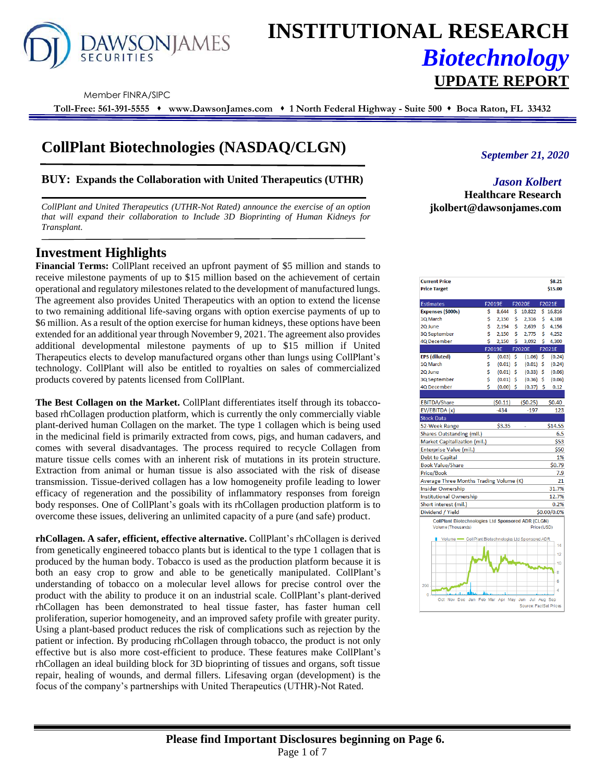

# **INSTITUTIONAL RESEARCH** *Biotechnology* **UPDATE REPORT**

Member FINRA/SIPC

**Toll-Free: 561-391-5555** ⬧ **www.DawsonJames.com** ⬧ **1 North Federal Highway - Suite 500** ⬧ **Boca Raton, FL 33432**

## **CollPlant Biotechnologies (NASDAQ/CLGN)**

## **BUY: Expands the Collaboration with United Therapeutics (UTHR)**

*CollPlant and United Therapeutics (UTHR-Not Rated) announce the exercise of an option that will expand their collaboration to Include 3D Bioprinting of Human Kidneys for Transplant.*

## **Investment Highlights**

**Financial Terms:** CollPlant received an upfront payment of \$5 million and stands to receive milestone payments of up to \$15 million based on the achievement of certain operational and regulatory milestones related to the development of manufactured lungs. The agreement also provides United Therapeutics with an option to extend the license to two remaining additional life-saving organs with option exercise payments of up to \$6 million. As a result of the option exercise for human kidneys, these options have been extended for an additional year through November 9, 2021. The agreement also provides additional developmental milestone payments of up to \$15 million if United Therapeutics elects to develop manufactured organs other than lungs using CollPlant's technology. CollPlant will also be entitled to royalties on sales of commercialized products covered by patents licensed from CollPlant.

**The Best Collagen on the Market.** CollPlant differentiates itself through its tobaccobased rhCollagen production platform, which is currently the only commercially viable plant-derived human Collagen on the market. The type 1 collagen which is being used in the medicinal field is primarily extracted from cows, pigs, and human cadavers, and comes with several disadvantages. The process required to recycle Collagen from mature tissue cells comes with an inherent risk of mutations in its protein structure. Extraction from animal or human tissue is also associated with the risk of disease transmission. Tissue-derived collagen has a low homogeneity profile leading to lower efficacy of regeneration and the possibility of inflammatory responses from foreign body responses. One of CollPlant's goals with its rhCollagen production platform is to overcome these issues, delivering an unlimited capacity of a pure (and safe) product.

**rhCollagen. A safer, efficient, effective alternative.** CollPlant's rhCollagen is derived from genetically engineered tobacco plants but is identical to the type 1 collagen that is produced by the human body. Tobacco is used as the production platform because it is both an easy crop to grow and able to be genetically manipulated. CollPlant's understanding of tobacco on a molecular level allows for precise control over the product with the ability to produce it on an industrial scale. CollPlant's plant-derived rhCollagen has been demonstrated to heal tissue faster, has faster human cell proliferation, superior homogeneity, and an improved safety profile with greater purity. Using a plant-based product reduces the risk of complications such as rejection by the patient or infection. By producing rhCollagen through tobacco, the product is not only effective but is also more cost-efficient to produce. These features make CollPlant's rhCollagen an ideal building block for 3D bioprinting of tissues and organs, soft tissue repair, healing of wounds, and dermal fillers. Lifesaving organ (development) is the focus of the company's partnerships with United Therapeutics (UTHR)-Not Rated.

*September 21, 2020*

*Jason Kolbert* **Healthcare Research jkolbert@dawsonjames.com**

| <b>Current Price</b><br><b>Price Target</b>                                     |          |                         |    |                               |         | \$8.21<br>\$15.00 |
|---------------------------------------------------------------------------------|----------|-------------------------|----|-------------------------------|---------|-------------------|
| <b>Estimates</b>                                                                |          | F2019E                  |    | <b>F2020E</b>                 |         | F2021E            |
| Expenses (\$000s)                                                               | \$       | 8,644                   | \$ | 10,822                        | \$      | 16,816            |
| 1Q March                                                                        | \$       | 2,150                   | \$ | 2,316                         | \$      | 4,108             |
| 2Q June                                                                         | Ś        | 2,194                   | Ś  | 2,639                         | \$      | 4,156             |
| 3Q September                                                                    | Ś        | 2,150                   | Ś  | 2,775                         | Ś       | 4,252             |
| 4Q December                                                                     | Ś        | 2,150                   | Ś  | 3,092<br>F2020E               | Ś       | 4,300             |
|                                                                                 |          | F2019E                  |    |                               |         | F2021E            |
| <b>EPS</b> (diluted)<br>1Q March                                                | \$<br>\$ | (0.03)                  | \$ | (1.06)                        | \$<br>Ś | (0.24)            |
|                                                                                 | \$       | (0.01)                  | \$ | (0.01)                        |         | (0.24)            |
| 2Q June                                                                         | \$       | (0.01)                  | \$ | (0.33)                        | \$      | (0.06)            |
| 3Q September                                                                    | Ś        | (0.01)                  | \$ | (0.36)                        | \$      | (0.06)            |
| 4Q December                                                                     |          | $(0.00)$ \$             |    | $(0.37)$ \$                   |         | 0.12              |
| <b>EBITDA/Share</b>                                                             |          | (50.11)                 |    | (50.25)                       |         | \$0.40            |
| EV/EBITDA (x)                                                                   |          | $-434$                  |    | $-197$                        |         | 123               |
| <b>Stock Data</b>                                                               |          |                         |    |                               |         |                   |
| 52-Week Range                                                                   |          | \$3.35                  |    | ä,                            |         | \$14.55           |
| Shares Outstanding (mil.)                                                       |          |                         |    |                               |         | 6.5               |
|                                                                                 |          |                         |    |                               |         | \$53              |
| <b>Market Capitalization (mil.)</b>                                             |          |                         |    |                               |         | \$50              |
| Enterprise Value (mil.)                                                         |          |                         |    |                               |         |                   |
| <b>Debt to Capital</b>                                                          |          |                         |    |                               |         | 1%                |
| <b>Book Value/Share</b>                                                         |          |                         |    |                               |         | \$0.79            |
| <b>Price/Book</b>                                                               |          |                         |    |                               |         | 7.9               |
| Average Three Months Trading Volume (K)                                         |          |                         |    |                               |         | 21                |
| <b>Insider Ownership</b>                                                        |          |                         |    |                               |         | 31.7%             |
| <b>Institutional Ownership</b>                                                  |          |                         |    |                               |         | 12.7%             |
| Short interest (mil.)                                                           |          |                         |    |                               |         | 0.2%              |
| Dividend / Yield                                                                |          |                         |    |                               |         | \$0.00/0.0%       |
| <b>CollPlant Biotechnologies Ltd Sponsored ADR (CLGN)</b><br>Volume (Thousands) |          |                         |    | Price (USD)                   |         |                   |
| Volume - CollPlant Biotechnologies Ltd Sponsored ADR                            |          |                         |    |                               |         | 14                |
|                                                                                 |          |                         |    |                               |         |                   |
|                                                                                 |          |                         |    |                               |         | 12                |
|                                                                                 |          |                         |    |                               |         | 10                |
|                                                                                 |          |                         |    |                               |         | 8                 |
|                                                                                 |          |                         |    |                               |         | 6                 |
| 200                                                                             |          |                         |    |                               |         | 4                 |
| $\overline{0}$                                                                  |          |                         |    |                               |         |                   |
| Oct Nov<br><b>Dec</b>                                                           |          | Jan Feb Mar Apr May Jun |    | Jul<br>Source: FactSet Prices |         | Aug Sep           |
|                                                                                 |          |                         |    |                               |         |                   |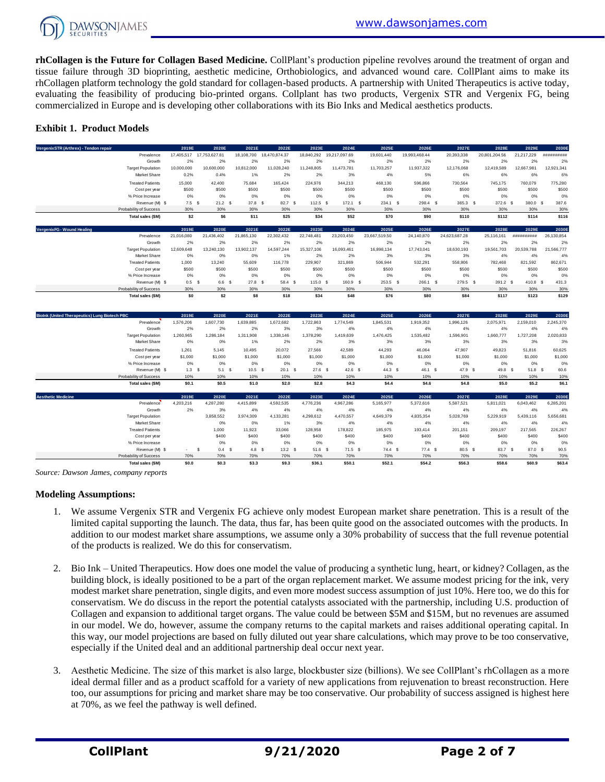

**rhCollagen is the Future for Collagen Based Medicine.** CollPlant's production pipeline revolves around the treatment of organ and tissue failure through 3D bioprinting, aesthetic medicine, Orthobiologics, and advanced wound care. CollPlant aims to make its rhCollagen platform technology the gold standard for collagen-based products. A partnership with United Therapeutics is active today, evaluating the feasibility of producing bio-printed organs. Collplant has two products, Vergenix STR and Vergenix FG, being commercialized in Europe and is developing other collaborations with its Bio Inks and Medical aesthetics products.

## **Exhibit 1. Product Models**

| Vergenix STR (Arthrex) - Tendon repair               |                          | 2019E            | 2020E                    | 2021E      | 2022E                    | 2023E      | 2024E         | 2025E         | 2026E         | 2027E         | 2028E         | 2029E      | 2030E       |
|------------------------------------------------------|--------------------------|------------------|--------------------------|------------|--------------------------|------------|---------------|---------------|---------------|---------------|---------------|------------|-------------|
|                                                      | Prevalence               |                  | 17,405,517 17,753,627.81 |            | 18,108,700 18,470,874.37 | 18,840,292 | 19,217,097.69 | 19,601,440    | 19,993,468.44 | 20,393,338    | 20,801,204.56 | 21,217,229 | *********** |
|                                                      | Growth                   | 2%               | 2%                       | 2%         | 2%                       | 2%         | 2%            | 2%            | 2%            | 2%            | 2%            | 2%         | 2%          |
|                                                      | <b>Target Population</b> | 10,000,000       | 10,600,000               | 10,812,000 | 11,028,240               | 11,248,805 | 11,473,781    | 11,703,257    | 11,937,322    | 12,176,068    | 12,419,589    | 12,667,981 | 12,921,341  |
|                                                      | Market Share             | 0.2%             | 0.4%                     | 1%         | 2%                       | 2%         | 3%            | 4%            | 5%            | 6%            | 6%            | 6%         | 6%          |
|                                                      | <b>Treated Patients</b>  | 15,000           | 42,400                   | 75.684     | 165.424                  | 224.976    | 344,213       | 468,130       | 596.866       | 730,564       | 745,175       | 760.079    | 775,280     |
|                                                      | Cost per year            | \$500            | \$500                    | \$500      | \$500                    | \$500      | \$500         | \$500         | \$500         | \$500         | \$500         | \$500      | \$500       |
|                                                      | % Price Increase         | 0%               | 0%                       | 0%         | 0%                       | 0%         | 0%            | 0%            | 0%            | 0%            | 0%            | 0%         | 0%          |
|                                                      | Revenue (M) \$           | 7.5 <sup>5</sup> | 21.2 S                   | 37.8 S     | 82.7 \$                  | $112.5$ \$ | $172.1$ S     | $234.1$ \$    | 298.4 \$      | 365.3 \$      | 372.6 \$      | 380.0 \$   | 387.6       |
|                                                      | Probability of Success   | 30%              | 30%                      | 30%        | 30%                      | 30%        | 30%           | 30%           | 30%           | 30%           | 30%           | 30%        | 30%         |
|                                                      | Total sales (\$M)        | \$2              | S <sub>6</sub>           | \$11       | \$25                     | \$34       | \$52          | \$70          | \$90          | \$110         | \$112         | \$114      | \$116       |
| VergenixFG - Wound Healing                           |                          | 2019E            | 2020E                    | 2021E      | 2022E                    | 2023E      | 2024E         | 2025E         | 2026E         | 2027E         | 2028E         | 2029E      | 2030E       |
|                                                      | Prevalence               | 21,016,080       | 21,436,402               | 21,865,130 | 22,302,432               | 22,748,481 | 23,203,450    | 23,667,519.50 | 24,140,870    | 24,623,687.28 | 25,116,161    | ########## | 26,130,854  |
|                                                      | Growth                   | 2%               | 2%                       | 2%         | 2%                       | 2%         | 2%            | 2%            | 2%            | 2%            | 2%            | 2%         | 2%          |
|                                                      | <b>Target Population</b> | 12,609,648       | 13,240,130               | 13,902,137 | 14,597,244               | 15,327,106 | 16,093,461    | 16,898,134    | 17,743,041    | 18,630,193    | 19,561,703    | 20,539,788 | 21,566,777  |
|                                                      | <b>Market Share</b>      | 0%               | 0%                       | 0%         | 1%                       | 2%         | 2%            | 3%            | 3%            | 3%            | 4%            | 4%         | 4%          |
|                                                      | <b>Treated Patients</b>  | 1.000            | 13.240                   | 55,609     | 116,778                  | 229,907    | 321,869       | 506,944       | 532,291       | 558,906       | 782,468       | 821.592    | 862,671     |
|                                                      |                          |                  |                          |            |                          |            |               |               |               |               |               |            |             |
|                                                      | Cost per year            | \$500            | \$500                    | \$500      | \$500                    | \$500      | \$500         | \$500         | \$500         | \$500         | \$500         | \$500      | \$500       |
|                                                      | % Price Increase         | 0%               | 0%                       | 0%         | 0%                       | 0%         | 0%            | 0%            | 0%            | 0%            | 0%            | 0%         | 0%          |
|                                                      | Revenue (M) \$           | 0.5 <sup>5</sup> | 6.6 S                    | 27.8 S     | 58.4 S                   | 115.0 S    | 160.9 \$      | $253.5$ \$    | 266.1 \$      | 279.5 \$      | 391.2 \$      | 410.8 S    | 431.3       |
|                                                      | Probability of Success   | 30%              | 30%                      | 30%        | 30%                      | 30%        | 30%           | 30%           | 30%           | 30%           | 30%           | 30%        | 30%         |
|                                                      | Total sales (\$M)        | \$0              | \$2                      | \$8        | \$18                     | \$34       | \$48          | \$76          | \$80          | \$84          | \$117         | \$123      | \$129       |
|                                                      |                          | 2019E            | 2020E                    | 2021E      | 2022E                    | 2023E      | 2024E         | 2025E         | 2026E         | 2027E         | 2028E         | 2029E      | 2030E       |
|                                                      | Prevalence               | 1,576,206        | 1,607,730                | 1,639,885  | 1,672,682                | 1,722,863  | 1,774,549     | 1,845,531     | 1,919,352     | 1,996,126     | 2,075,971     | 2,159,010  | 2,245,370   |
|                                                      | Growth                   | 2%               | 2%                       | 2%         | 3%                       | 3%         | 4%            | 4%            | 4%            | 4%            | 4%            | 4%         | 4%          |
|                                                      | <b>Target Population</b> | 1,260,965        | 1,286,184                | 1,311,908  | 1,338,146                | 1,378,290  | 1,419,639     | 1,476,425     | 1,535,482     | 1,596,901     | 1,660,777     | 1.727.208  | 2,020,833   |
| <b>Biolnk (United Therapeutics) Lung Biotech PBC</b> | Market Share             | 0%               | 0%                       | 1%         | 2%                       | 2%         | 3%            | 3%            | 3%            | 3%            | 3%            | 3%         | 3%          |
|                                                      | <b>Treated Patients</b>  | 1.261            | 5.145                    | 10.495     | 20,072                   | 27.566     | 42,589        | 44.293        | 46.064        | 47,907        | 49.823        | 51.816     | 60.625      |

| <b>Biolnk (United Therapeutics) Lung Biotech PBC</b> | 2019E                  | 2020E     | 2021E     | 2022E     | 2023E     | 2024E     | 2025E             | 2026E     | 2027E     | 2028E     | 2029E     | 2030E     |
|------------------------------------------------------|------------------------|-----------|-----------|-----------|-----------|-----------|-------------------|-----------|-----------|-----------|-----------|-----------|
| Prevalence                                           | 1,576,206              | 1,607,730 | 1,639,885 | 1,672,682 | 1,722,863 | 1,774,549 | 1,845,531         | 1,919,352 | 1,996,126 | 2,075,971 | 2,159,010 | 2,245,370 |
| Growth                                               | 2%                     | 2%        | 2%        | 3%        | 3%        | 4%        | 4%                | 4%        | 4%        | 4%        | 4%        | 4%        |
| <b>Target Population</b>                             | 1,260,965              | ,286,184  | 311,908   | 1,338,146 | 1,378,290 | 1,419,639 | 1,476,425         | 1,535,482 | 1,596,901 | 1,660,777 | 1,727,208 | 2,020,833 |
| Market Share                                         | 0%                     | 0%        | 1%        | 2%        | 2%        | 3%        | 3%                | 3%        | 3%        | 3%        | 3%        | 3%        |
| <b>Treated Patients</b>                              | 1.261                  | 5.145     | 10,495    | 20,072    | 27,566    | 42,589    | 44,293            | 46,064    | 47,907    | 49,823    | 51,816    | 60,625    |
| Cost per year                                        | \$1,000                | \$1,000   | \$1,000   | \$1,000   | \$1,000   | \$1,000   | \$1,000           | \$1,000   | \$1,000   | \$1,000   | \$1,000   | \$1,000   |
| % Price Increase                                     | 0%                     | 0%        | 0%        | 0%        | 0%        | 0%        | 0%                | 0%        | 0%        | 0%        | 0%        | 0%        |
| Revenue (M) \$                                       | 1.3 <sup>5</sup>       | 5.1 S     | $10.5$ \$ | 20.1 S    | $27.6$ \$ | 42.6 \$   | 44.3 <sup>5</sup> | 46.1 \$   | 47.9 \$   | 49.8 \$   | 51.8 S    | 60.6      |
| Probability of Success                               | 10%                    | 10%       | 10%       | 10%       | 10%       | 10%       | 10%               | 10%       | 10%       | 10%       | 10%       | 10%       |
| Total sales (\$M)                                    | \$0.1                  | \$0.5     | \$1.0     | \$2.0     | \$2.8     | \$4.3     | \$4.4             | \$4.6     | \$4.8     | \$5.0     | \$5.2     | \$6.1     |
| <b>Aesthetic Medicine</b>                            | 2019E                  | 2020E     | 2021E     | 2022E     | 2023E     | 2024E     | 2025E             | 2026E     | 2027E     | 2028E     | 2029E     | 2030E     |
| Prevalence                                           | 4,203,216              | 4,287,280 | 4,415,899 | 4,592,535 | 4,776,236 | 4,967,286 | 5,165,977         | 5,372,616 | 5,587,521 | 5,811,021 | 6,043,462 | 6,285,201 |
| Growth                                               | 2%                     | 3%        | 4%        | 4%        | 4%        | 4%        | 4%                | 4%        | 4%        | 4%        | 4%        | 4%        |
| <b>Target Population</b>                             |                        | 3,858,552 | 3,974,309 | 4,133,281 | 4,298,612 | 4,470,557 | 4,649,379         | 4,835,354 | 5,028,769 | 5,229,919 | 5,439,116 | 5,656,681 |
| Market Share                                         |                        | 0%        | 0%        | 1%        | 3%        | 4%        | 4%                | 4%        | 4%        | 4%        | 4%        | 4%        |
| <b>Treated Patients</b>                              |                        | 1.000     | 11,923    | 33,066    | 128,958   | 178,822   | 185,975           | 193,414   | 201,151   | 209,197   | 217,565   | 226,267   |
| Cost per year                                        |                        | \$400     | \$400     | \$400     | \$400     | \$400     | \$400             | \$400     | \$400     | \$400     | \$400     | \$400     |
| % Price Increase                                     |                        | 0%        | 0%        | 0%        | 0%        | 0%        | 0%                | 0%        | 0%        | 0%        | 0%        | 0%        |
| Revenue (M) \$                                       | $\mathbf{s}$<br>$\sim$ | 0.4 S     | 4.8 S     | 13.2 S    | $51.6$ \$ | $71.5$ \$ | 74.4 S            | $77.4$ \$ | 80.5 \$   | 83.7 \$   | 87.0 \$   | 90.5      |
| Probability of Success                               | 70%                    | 70%       | 70%       | 70%       | 70%       | 70%       | 70%               | 70%       | 70%       | 70%       | 70%       | 70%       |
| Total sales (\$M)                                    | \$0.0                  | \$0.3     | \$3.3     | \$9.3     | \$36.1    | \$50.1    | \$52.1            | \$54.2    | \$56.3    | \$58.6    | \$60.9    | \$63.4    |

*Source: Dawson James, company reports*

#### **Modeling Assumptions:**

- 1. We assume Vergenix STR and Vergenix FG achieve only modest European market share penetration. This is a result of the limited capital supporting the launch. The data, thus far, has been quite good on the associated outcomes with the products. In addition to our modest market share assumptions, we assume only a 30% probability of success that the full revenue potential of the products is realized. We do this for conservatism.
- 2. Bio Ink United Therapeutics. How does one model the value of producing a synthetic lung, heart, or kidney? Collagen, as the building block, is ideally positioned to be a part of the organ replacement market. We assume modest pricing for the ink, very modest market share penetration, single digits, and even more modest success assumption of just 10%. Here too, we do this for conservatism. We do discuss in the report the potential catalysts associated with the partnership, including U.S. production of Collagen and expansion to additional target organs. The value could be between \$5M and \$15M, but no revenues are assumed in our model. We do, however, assume the company returns to the capital markets and raises additional operating capital. In this way, our model projections are based on fully diluted out year share calculations, which may prove to be too conservative, especially if the United deal and an additional partnership deal occur next year.
- 3. Aesthetic Medicine. The size of this market is also large, blockbuster size (billions). We see CollPlant's rhCollagen as a more ideal dermal filler and as a product scaffold for a variety of new applications from rejuvenation to breast reconstruction. Here too, our assumptions for pricing and market share may be too conservative. Our probability of success assigned is highest here at 70%, as we feel the pathway is well defined.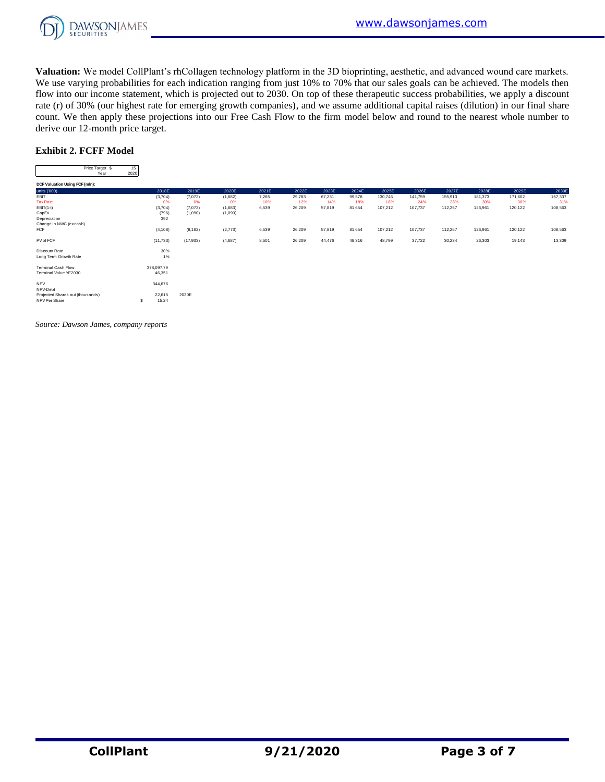

**Valuation:** We model CollPlant's rhCollagen technology platform in the 3D bioprinting, aesthetic, and advanced wound care markets. We use varying probabilities for each indication ranging from just 10% to 70% that our sales goals can be achieved. The models then flow into our income statement, which is projected out to 2030. On top of these therapeutic success probabilities, we apply a discount rate (r) of 30% (our highest rate for emerging growth companies), and we assume additional capital raises (dilution) in our final share count. We then apply these projections into our Free Cash Flow to the firm model below and round to the nearest whole number to derive our 12-month price target. nen apply the:<br>2-month price<br>Price Target \$ 15<br>Price Target \$ 15<br>Vear 2020

## **Exhibit 2. FCFF Model**

| EXMIDIU 2. FUFF MODEL            |            |            |                                                                                                                           |         |                                                                                                                                                      |                                                                                                                                                                                                                                                                                                                                                                                                                                                                            |          |        |                                                                                                                                                                                                                                                                                                                                                                                                                                                                            |          |                                                                                                                                                                                                                                                                                                                                                                                                                                                                            |          |                             |             |
|----------------------------------|------------|------------|---------------------------------------------------------------------------------------------------------------------------|---------|------------------------------------------------------------------------------------------------------------------------------------------------------|----------------------------------------------------------------------------------------------------------------------------------------------------------------------------------------------------------------------------------------------------------------------------------------------------------------------------------------------------------------------------------------------------------------------------------------------------------------------------|----------|--------|----------------------------------------------------------------------------------------------------------------------------------------------------------------------------------------------------------------------------------------------------------------------------------------------------------------------------------------------------------------------------------------------------------------------------------------------------------------------------|----------|----------------------------------------------------------------------------------------------------------------------------------------------------------------------------------------------------------------------------------------------------------------------------------------------------------------------------------------------------------------------------------------------------------------------------------------------------------------------------|----------|-----------------------------|-------------|
| Price Target \$<br>Year          | 15<br>2020 |            |                                                                                                                           |         |                                                                                                                                                      |                                                                                                                                                                                                                                                                                                                                                                                                                                                                            |          |        |                                                                                                                                                                                                                                                                                                                                                                                                                                                                            |          |                                                                                                                                                                                                                                                                                                                                                                                                                                                                            |          |                             |             |
| DCF Valuation Using FCF (mln):   |            | $\cdots$   | $\frac{1}{2} \left( \frac{1}{2} \right) \left( \frac{1}{2} \right) \left( \frac{1}{2} \right) \left( \frac{1}{2} \right)$ | ----    | $\frac{1}{2} \left( \frac{1}{2} \right) \left( \frac{1}{2} \right) \left( \frac{1}{2} \right) \left( \frac{1}{2} \right) \left( \frac{1}{2} \right)$ | $\frac{1}{2} \left( \frac{1}{2} \right) \left( \frac{1}{2} \right) \left( \frac{1}{2} \right) \left( \frac{1}{2} \right) \left( \frac{1}{2} \right) \left( \frac{1}{2} \right) \left( \frac{1}{2} \right) \left( \frac{1}{2} \right) \left( \frac{1}{2} \right) \left( \frac{1}{2} \right) \left( \frac{1}{2} \right) \left( \frac{1}{2} \right) \left( \frac{1}{2} \right) \left( \frac{1}{2} \right) \left( \frac{1}{2} \right) \left( \frac{1}{2} \right) \left( \frac$ | $\cdots$ | ----   | $\frac{1}{2} \left( \frac{1}{2} \right) \left( \frac{1}{2} \right) \left( \frac{1}{2} \right) \left( \frac{1}{2} \right) \left( \frac{1}{2} \right) \left( \frac{1}{2} \right) \left( \frac{1}{2} \right) \left( \frac{1}{2} \right) \left( \frac{1}{2} \right) \left( \frac{1}{2} \right) \left( \frac{1}{2} \right) \left( \frac{1}{2} \right) \left( \frac{1}{2} \right) \left( \frac{1}{2} \right) \left( \frac{1}{2} \right) \left( \frac{1}{2} \right) \left( \frac$ | $\cdots$ | $\frac{1}{2} \left( \frac{1}{2} \right) \left( \frac{1}{2} \right) \left( \frac{1}{2} \right) \left( \frac{1}{2} \right) \left( \frac{1}{2} \right) \left( \frac{1}{2} \right) \left( \frac{1}{2} \right) \left( \frac{1}{2} \right) \left( \frac{1}{2} \right) \left( \frac{1}{2} \right) \left( \frac{1}{2} \right) \left( \frac{1}{2} \right) \left( \frac{1}{2} \right) \left( \frac{1}{2} \right) \left( \frac{1}{2} \right) \left( \frac{1}{2} \right) \left( \frac$ | $\cdots$ | $\sim$ $\sim$ $\sim$ $\sim$ | $- - - - -$ |
| units ('000)                     |            | 2018E      | 2019E                                                                                                                     | 2020E   | 2021E                                                                                                                                                | 2022E                                                                                                                                                                                                                                                                                                                                                                                                                                                                      | 2023E    | 2024E  | 2025E                                                                                                                                                                                                                                                                                                                                                                                                                                                                      | 2026E    | 2027E                                                                                                                                                                                                                                                                                                                                                                                                                                                                      | 2028E    | 2029E                       | 2030E       |
| EBIT                             |            | (3,704)    | (7,072)                                                                                                                   | (1,682) | 7,265                                                                                                                                                | 29,783                                                                                                                                                                                                                                                                                                                                                                                                                                                                     | 67,231   | 99,578 | 130,746                                                                                                                                                                                                                                                                                                                                                                                                                                                                    | 141,759  | 155,913                                                                                                                                                                                                                                                                                                                                                                                                                                                                    | 181,373  | 171,602                     | 157,337     |
| <b>Tax Rate</b>                  |            | 0%         | 0%                                                                                                                        | 0%      | 10%                                                                                                                                                  | 12%                                                                                                                                                                                                                                                                                                                                                                                                                                                                        | 14%      | 18%    | 18%                                                                                                                                                                                                                                                                                                                                                                                                                                                                        | 24%      | 28%                                                                                                                                                                                                                                                                                                                                                                                                                                                                        | 30%      | 30%                         | 31%         |
| $EBIT(1-t)$                      |            | (3,704)    | (7,072)                                                                                                                   | (1,683) | 6,539                                                                                                                                                | 26,209                                                                                                                                                                                                                                                                                                                                                                                                                                                                     | 57,819   | 81,654 | 107,212                                                                                                                                                                                                                                                                                                                                                                                                                                                                    | 107,737  | 112,257                                                                                                                                                                                                                                                                                                                                                                                                                                                                    | 126,961  | 120,122                     | 108,563     |
| CapEx                            |            | (796)      | (1,090)                                                                                                                   | (1,090) |                                                                                                                                                      |                                                                                                                                                                                                                                                                                                                                                                                                                                                                            |          |        |                                                                                                                                                                                                                                                                                                                                                                                                                                                                            |          |                                                                                                                                                                                                                                                                                                                                                                                                                                                                            |          |                             |             |
| Depreciation                     |            | 392        |                                                                                                                           |         |                                                                                                                                                      |                                                                                                                                                                                                                                                                                                                                                                                                                                                                            |          |        |                                                                                                                                                                                                                                                                                                                                                                                                                                                                            |          |                                                                                                                                                                                                                                                                                                                                                                                                                                                                            |          |                             |             |
| Change in NWC (excash)<br>FCF    |            |            | (8, 162)                                                                                                                  | (2,773) |                                                                                                                                                      | 26,209                                                                                                                                                                                                                                                                                                                                                                                                                                                                     | 57,819   | 81,654 | 107,212                                                                                                                                                                                                                                                                                                                                                                                                                                                                    | 107,737  |                                                                                                                                                                                                                                                                                                                                                                                                                                                                            | 126,961  |                             | 108,563     |
|                                  |            | (4, 108)   |                                                                                                                           |         | 6,539                                                                                                                                                |                                                                                                                                                                                                                                                                                                                                                                                                                                                                            |          |        |                                                                                                                                                                                                                                                                                                                                                                                                                                                                            |          | 112,257                                                                                                                                                                                                                                                                                                                                                                                                                                                                    |          | 120,122                     |             |
| PV of FCF                        |            | (11, 733)  | (17,933)                                                                                                                  | (4,687) | 8,501                                                                                                                                                | 26,209                                                                                                                                                                                                                                                                                                                                                                                                                                                                     | 44,476   | 48,316 | 48,799                                                                                                                                                                                                                                                                                                                                                                                                                                                                     | 37,722   | 30,234                                                                                                                                                                                                                                                                                                                                                                                                                                                                     | 26,303   | 19,143                      | 13,309      |
| Discount Rate                    |            | 30%        |                                                                                                                           |         |                                                                                                                                                      |                                                                                                                                                                                                                                                                                                                                                                                                                                                                            |          |        |                                                                                                                                                                                                                                                                                                                                                                                                                                                                            |          |                                                                                                                                                                                                                                                                                                                                                                                                                                                                            |          |                             |             |
| Long Term Growth Rate            |            | 1%         |                                                                                                                           |         |                                                                                                                                                      |                                                                                                                                                                                                                                                                                                                                                                                                                                                                            |          |        |                                                                                                                                                                                                                                                                                                                                                                                                                                                                            |          |                                                                                                                                                                                                                                                                                                                                                                                                                                                                            |          |                             |             |
| <b>Terminal Cash Flow</b>        |            | 378,097.79 |                                                                                                                           |         |                                                                                                                                                      |                                                                                                                                                                                                                                                                                                                                                                                                                                                                            |          |        |                                                                                                                                                                                                                                                                                                                                                                                                                                                                            |          |                                                                                                                                                                                                                                                                                                                                                                                                                                                                            |          |                             |             |
| Terminal Value YE2030            |            | 46,351     |                                                                                                                           |         |                                                                                                                                                      |                                                                                                                                                                                                                                                                                                                                                                                                                                                                            |          |        |                                                                                                                                                                                                                                                                                                                                                                                                                                                                            |          |                                                                                                                                                                                                                                                                                                                                                                                                                                                                            |          |                             |             |
| <b>NPV</b>                       |            | 344,676    |                                                                                                                           |         |                                                                                                                                                      |                                                                                                                                                                                                                                                                                                                                                                                                                                                                            |          |        |                                                                                                                                                                                                                                                                                                                                                                                                                                                                            |          |                                                                                                                                                                                                                                                                                                                                                                                                                                                                            |          |                             |             |
| NPV-Debt                         |            |            |                                                                                                                           |         |                                                                                                                                                      |                                                                                                                                                                                                                                                                                                                                                                                                                                                                            |          |        |                                                                                                                                                                                                                                                                                                                                                                                                                                                                            |          |                                                                                                                                                                                                                                                                                                                                                                                                                                                                            |          |                             |             |
| Projected Shares out (thousands) |            | 22,615     | 2030E                                                                                                                     |         |                                                                                                                                                      |                                                                                                                                                                                                                                                                                                                                                                                                                                                                            |          |        |                                                                                                                                                                                                                                                                                                                                                                                                                                                                            |          |                                                                                                                                                                                                                                                                                                                                                                                                                                                                            |          |                             |             |
| NPV Per Share                    | s          | 15.24      |                                                                                                                           |         |                                                                                                                                                      |                                                                                                                                                                                                                                                                                                                                                                                                                                                                            |          |        |                                                                                                                                                                                                                                                                                                                                                                                                                                                                            |          |                                                                                                                                                                                                                                                                                                                                                                                                                                                                            |          |                             |             |

*Source: Dawson James, company reports*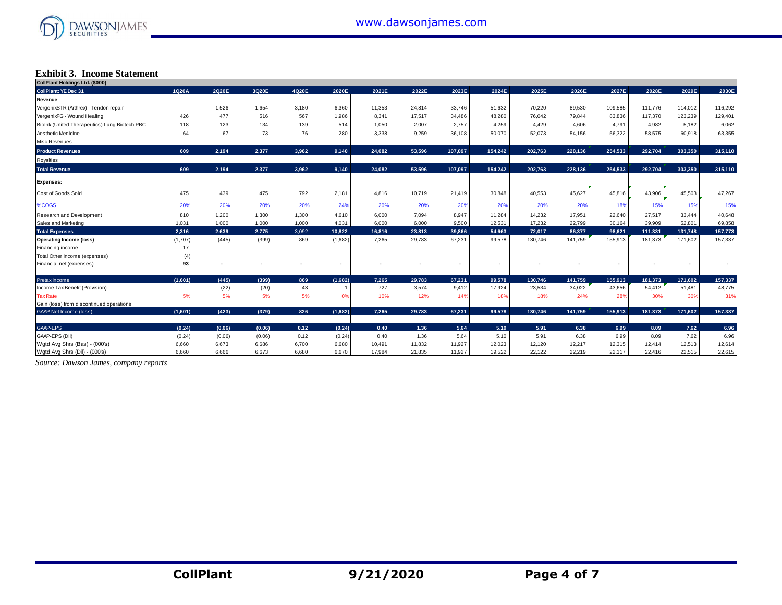

## **Exhibit 3. Income Statement**

| CollPlant Holdings Ltd. (\$000)               |                          |        |        |       |                          |                |        |         |                |         |         |         |         |         |         |
|-----------------------------------------------|--------------------------|--------|--------|-------|--------------------------|----------------|--------|---------|----------------|---------|---------|---------|---------|---------|---------|
| <b>CollPlant: YE Dec 31</b>                   | 1Q20A                    | 2Q20E  | 3Q20E  | 4Q20E | 2020E                    | 2021E          | 2022E  | 2023E   | 2024E          | 2025E   | 2026E   | 2027E   | 2028E   | 2029E   | 2030E   |
| Revenue                                       |                          |        |        |       |                          |                |        |         |                |         |         |         |         |         |         |
| VergenixSTR (Arthrex) - Tendon repair         |                          | 1,526  | 1,654  | 3,180 | 6,360                    | 11,353         | 24,814 | 33.746  | 51,632         | 70,220  | 89,530  | 109,585 | 111,776 | 114,012 | 116,292 |
| VergenixFG - Wound Healing                    | 426                      | 477    | 516    | 567   | 1,986                    | 8,341          | 17,517 | 34,486  | 48,280         | 76,042  | 79,844  | 83,836  | 117,370 | 123,239 | 129,401 |
| Biolnk (United Therapeutics) Lung Biotech PBC | 118                      | 123    | 134    | 139   | 514                      | 1,050          | 2,007  | 2.757   | 4,259          | 4,429   | 4,606   | 4,791   | 4,982   | 5,182   | 6,062   |
| Aesthetic Medicine                            | 64                       | 67     | 73     | 76    | 280                      | 3,338          | 9,259  | 36,108  | 50,070         | 52,073  | 54,156  | 56,322  | 58,575  | 60,918  | 63,355  |
| <b>Misc Revenues</b>                          |                          |        |        |       |                          |                |        |         |                |         |         |         |         |         |         |
| <b>Product Revenues</b>                       | 609                      | 2,194  | 2,377  | 3,962 | 9,140                    | 24.082         | 53.596 | 107.097 | 154.242        | 202.763 | 228,136 | 254.533 | 292,704 | 303.350 | 315,110 |
| Royalties                                     |                          |        |        |       |                          |                |        |         |                |         |         |         |         |         |         |
| <b>Total Revenue</b>                          | 609                      | 2,194  | 2,377  | 3,962 | 9,140                    | 24.082         | 53.596 | 107,097 | 154.242        | 202,763 | 228,136 | 254.533 | 292.704 | 303.350 | 315,110 |
| <b>Expenses:</b>                              |                          |        |        |       |                          |                |        |         |                |         |         |         |         |         |         |
| Cost of Goods Sold                            | 475                      | 439    | 475    | 792   | 2,181                    | 4,816          | 10,719 | 21.419  | 30,848         | 40,553  | 45,627  | 45,816  | 43,906  | 45,503  | 47,267  |
| <b>%COGS</b>                                  | 20%                      | 20%    | 20%    | 20%   | 24%                      | 20%            | 20%    | 20%     | 20%            | 20%     | 20%     | 18%     | 15%     | 15%     | 15%     |
| Research and Development                      | 810                      | 1,200  | 1,300  | 1,300 | 4,610                    | 6,000          | 7.094  | 8.947   | 11,284         | 14,232  | 17,951  | 22,640  | 27,517  | 33,444  | 40,648  |
| Sales and Marketing                           | 1,031                    | 1,000  | 1,000  | 1,000 | 4,031                    | 6,000          | 6,000  | 9,500   | 12,531         | 17,232  | 22,799  | 30,164  | 39,909  | 52,801  | 69,858  |
| <b>Total Expenses</b>                         | 2,316                    | 2,639  | 2,775  | 3,092 | 10,822                   | 16,816         | 23,813 | 39,866  | 54.663         | 72,017  | 86,377  | 98,621  | 111,331 | 131,748 | 157,773 |
| <b>Operating Income (loss)</b>                | (1,707)                  | (445)  | (399)  | 869   | (1,682)                  | 7,265          | 29,783 | 67,231  | 99,578         | 130,746 | 141,759 | 155,913 | 181,373 | 171,602 | 157,337 |
| Financing income                              | 17                       |        |        |       |                          |                |        |         |                |         |         |         |         |         |         |
| Total Other Income (expenses)                 | (4)                      |        |        |       |                          |                |        |         |                |         |         |         |         |         |         |
| Financial net (expenses)                      | 93                       |        |        |       | $\overline{\phantom{a}}$ | $\blacksquare$ | ٠      | ٠       | $\blacksquare$ |         |         |         |         |         |         |
| Pretax Income                                 | (1,601)                  | (445)  | (399)  | 869   | (1,682)                  | 7.265          | 29.783 | 67.231  | 99,578         | 130,746 | 141,759 | 155,913 | 181,373 | 171,602 | 157,337 |
| Income Tax Benefit (Provision)                | $\overline{\phantom{a}}$ | (22)   | (20)   | 43    | $\overline{1}$           | 727            | 3,574  | 9,412   | 17,924         | 23,534  | 34,022  | 43,656  | 54,412  | 51,481  | 48,775  |
| <b>Tax Rate</b>                               | 5%                       | 5%     | 5%     | 5%    | 0%                       | 10%            | 12%    | 14%     | 18%            | 18%     | 24%     | 28%     | 30%     | 30%     | 31%     |
| Gain (loss) from discontinued operations      |                          |        |        |       |                          |                |        |         |                |         |         |         |         |         |         |
| <b>GAAP Net Income (loss)</b>                 | (1,601)                  | (423)  | (379)  | 826   | (1,682)                  | 7.265          | 29,783 | 67.231  | 99,578         | 130,746 | 141,759 | 155.913 | 181,373 | 171,602 | 157,337 |
| GAAP-EPS                                      | (0.24)                   | (0.06) | (0.06) | 0.12  | (0.24)                   | 0.40           | 1.36   | 5.64    | 5.10           | 5.91    | 6.38    | 6.99    | 8.09    | 7.62    | 6.96    |
| GAAP-EPS (Dil)                                | (0.24)                   | (0.06) | (0.06) | 0.12  | (0.24)                   | 0.40           | 1.36   | 5.64    | 5.10           | 5.91    | 6.38    | 6.99    | 8.09    | 7.62    | 6.96    |
| Wgtd Avg Shrs (Bas) - (000's)                 | 6,660                    | 6.673  | 6,686  | 6,700 | 6,680                    | 10,491         | 11,832 | 11,927  | 12,023         | 12,120  | 12,217  | 12,315  | 12,414  | 12,513  | 12,614  |
| Watd Ava Shrs (Dil) - (000's)                 | 6.660                    | 6.666  | 6,673  | 6,680 | 6,670                    | 17,984         | 21,835 | 11,927  | 19,522         | 22,122  | 22,219  | 22,317  | 22,416  | 22,515  | 22,615  |

*Source: Dawson James, company reports*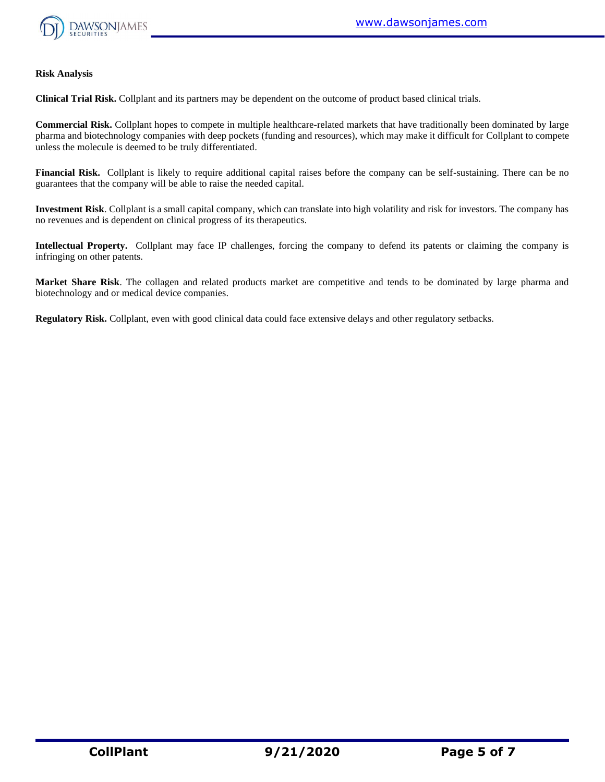

#### **Risk Analysis**

**Clinical Trial Risk.** Collplant and its partners may be dependent on the outcome of product based clinical trials.

**Commercial Risk.** Collplant hopes to compete in multiple healthcare-related markets that have traditionally been dominated by large pharma and biotechnology companies with deep pockets (funding and resources), which may make it difficult for Collplant to compete unless the molecule is deemed to be truly differentiated.

**Financial Risk.** Collplant is likely to require additional capital raises before the company can be self-sustaining. There can be no guarantees that the company will be able to raise the needed capital.

**Investment Risk**. Collplant is a small capital company, which can translate into high volatility and risk for investors. The company has no revenues and is dependent on clinical progress of its therapeutics.

**Intellectual Property.** Collplant may face IP challenges, forcing the company to defend its patents or claiming the company is infringing on other patents.

**Market Share Risk**. The collagen and related products market are competitive and tends to be dominated by large pharma and biotechnology and or medical device companies.

**Regulatory Risk.** Collplant, even with good clinical data could face extensive delays and other regulatory setbacks.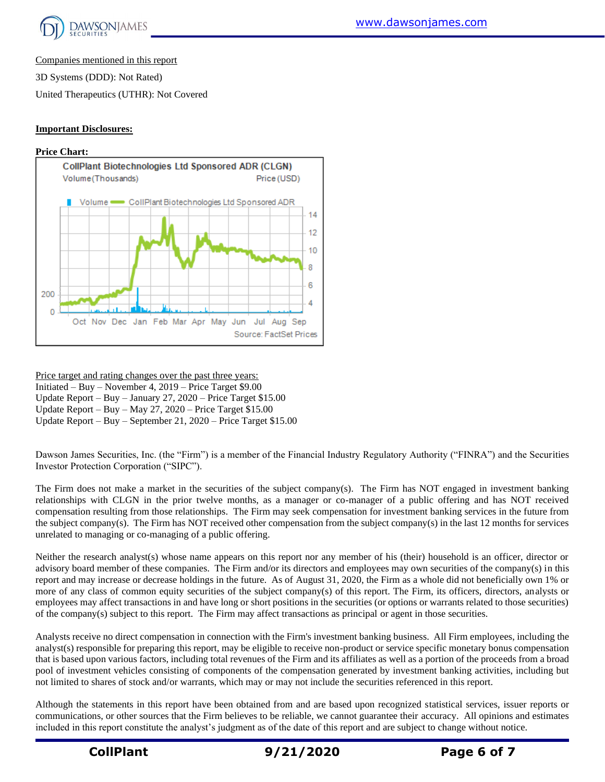

Companies mentioned in this report

3D Systems (DDD): Not Rated)

United Therapeutics (UTHR): Not Covered

## **Important Disclosures:**



Price target and rating changes over the past three years: Initiated – Buy – November 4, 2019 – Price Target \$9.00 Update Report – Buy – January 27, 2020 – Price Target \$15.00 Update Report – Buy – May 27, 2020 – Price Target \$15.00 Update Report – Buy – September 21, 2020 – Price Target \$15.00

Dawson James Securities, Inc. (the "Firm") is a member of the Financial Industry Regulatory Authority ("FINRA") and the Securities Investor Protection Corporation ("SIPC").

The Firm does not make a market in the securities of the subject company(s). The Firm has NOT engaged in investment banking relationships with CLGN in the prior twelve months, as a manager or co-manager of a public offering and has NOT received compensation resulting from those relationships. The Firm may seek compensation for investment banking services in the future from the subject company(s). The Firm has NOT received other compensation from the subject company(s) in the last 12 months for services unrelated to managing or co-managing of a public offering.

Neither the research analyst(s) whose name appears on this report nor any member of his (their) household is an officer, director or advisory board member of these companies. The Firm and/or its directors and employees may own securities of the company(s) in this report and may increase or decrease holdings in the future. As of August 31, 2020, the Firm as a whole did not beneficially own 1% or more of any class of common equity securities of the subject company(s) of this report. The Firm, its officers, directors, analysts or employees may affect transactions in and have long or short positions in the securities (or options or warrants related to those securities) of the company(s) subject to this report. The Firm may affect transactions as principal or agent in those securities.

Analysts receive no direct compensation in connection with the Firm's investment banking business. All Firm employees, including the analyst(s) responsible for preparing this report, may be eligible to receive non-product or service specific monetary bonus compensation that is based upon various factors, including total revenues of the Firm and its affiliates as well as a portion of the proceeds from a broad pool of investment vehicles consisting of components of the compensation generated by investment banking activities, including but not limited to shares of stock and/or warrants, which may or may not include the securities referenced in this report.

Although the statements in this report have been obtained from and are based upon recognized statistical services, issuer reports or communications, or other sources that the Firm believes to be reliable, we cannot guarantee their accuracy. All opinions and estimates included in this report constitute the analyst's judgment as of the date of this report and are subject to change without notice.